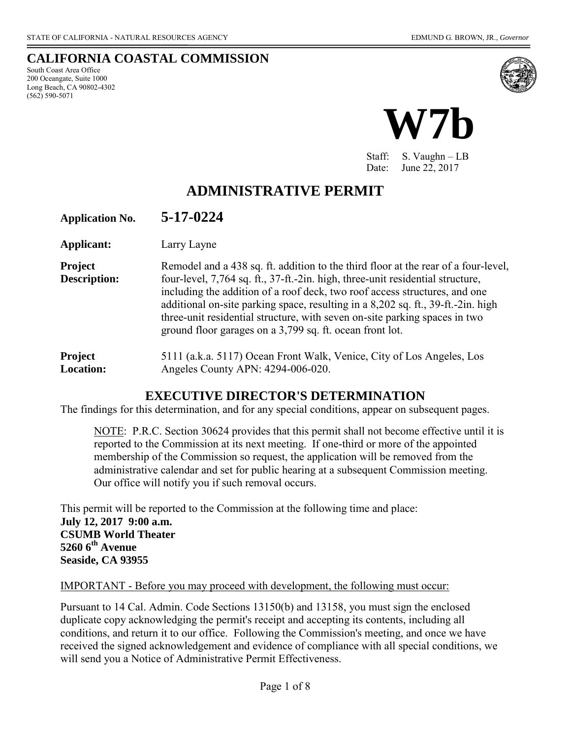**CALIFORNIA COASTAL COMMISSION**  South Coast Area Office 200 Oceangate, Suite 1000 Long Beach, CA 90802-4302 (562) 590-5071



Staff: S. Vaughn – LB Date: June 22, 2017

# **ADMINISTRATIVE PERMIT**

| <b>Application No.</b>                | 5-17-0224                                                                                                                                                                                                                                                                                                                                                                                                                                                                        |
|---------------------------------------|----------------------------------------------------------------------------------------------------------------------------------------------------------------------------------------------------------------------------------------------------------------------------------------------------------------------------------------------------------------------------------------------------------------------------------------------------------------------------------|
| Applicant:                            | Larry Layne                                                                                                                                                                                                                                                                                                                                                                                                                                                                      |
| <b>Project</b><br><b>Description:</b> | Remodel and a 438 sq. ft. addition to the third floor at the rear of a four-level,<br>four-level, 7,764 sq. ft., 37-ft.-2in. high, three-unit residential structure,<br>including the addition of a roof deck, two roof access structures, and one<br>additional on-site parking space, resulting in a 8,202 sq. ft., 39-ft.-2in. high<br>three-unit residential structure, with seven on-site parking spaces in two<br>ground floor garages on a 3,799 sq. ft. ocean front lot. |
| Draiget                               | $5111(a k a 5117) Ocean$ Front Walk Venice City of Los Angeles Los                                                                                                                                                                                                                                                                                                                                                                                                               |

**Project** 5111 (a.k.a. 5117) Ocean Front Walk, Venice, City of Los Angeles, Los **Location:** Angeles County APN: 4294-006-020.

## **EXECUTIVE DIRECTOR'S DETERMINATION**

The findings for this determination, and for any special conditions, appear on subsequent pages.

NOTE: P.R.C. Section 30624 provides that this permit shall not become effective until it is reported to the Commission at its next meeting. If one-third or more of the appointed membership of the Commission so request, the application will be removed from the administrative calendar and set for public hearing at a subsequent Commission meeting. Our office will notify you if such removal occurs.

This permit will be reported to the Commission at the following time and place: **July 12, 2017 9:00 a.m. CSUMB World Theater 5260 6th Avenue Seaside, CA 93955**

#### IMPORTANT - Before you may proceed with development, the following must occur:

Pursuant to 14 Cal. Admin. Code Sections 13150(b) and 13158, you must sign the enclosed duplicate copy acknowledging the permit's receipt and accepting its contents, including all conditions, and return it to our office. Following the Commission's meeting, and once we have received the signed acknowledgement and evidence of compliance with all special conditions, we will send you a Notice of Administrative Permit Effectiveness.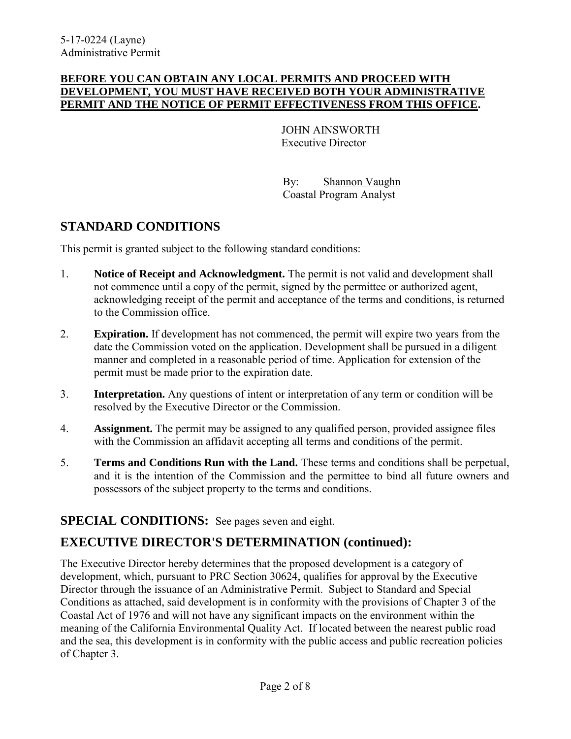#### **BEFORE YOU CAN OBTAIN ANY LOCAL PERMITS AND PROCEED WITH DEVELOPMENT, YOU MUST HAVE RECEIVED BOTH YOUR ADMINISTRATIVE PERMIT AND THE NOTICE OF PERMIT EFFECTIVENESS FROM THIS OFFICE.**

 JOHN AINSWORTH Executive Director

 By: Shannon Vaughn Coastal Program Analyst

## **STANDARD CONDITIONS**

This permit is granted subject to the following standard conditions:

- 1. **Notice of Receipt and Acknowledgment.** The permit is not valid and development shall not commence until a copy of the permit, signed by the permittee or authorized agent, acknowledging receipt of the permit and acceptance of the terms and conditions, is returned to the Commission office.
- 2. **Expiration.** If development has not commenced, the permit will expire two years from the date the Commission voted on the application. Development shall be pursued in a diligent manner and completed in a reasonable period of time. Application for extension of the permit must be made prior to the expiration date.
- 3. **Interpretation.** Any questions of intent or interpretation of any term or condition will be resolved by the Executive Director or the Commission.
- 4. **Assignment.** The permit may be assigned to any qualified person, provided assignee files with the Commission an affidavit accepting all terms and conditions of the permit.
- 5. **Terms and Conditions Run with the Land.** These terms and conditions shall be perpetual, and it is the intention of the Commission and the permittee to bind all future owners and possessors of the subject property to the terms and conditions.

## **SPECIAL CONDITIONS:** See pages seven and eight.

# **EXECUTIVE DIRECTOR'S DETERMINATION (continued):**

The Executive Director hereby determines that the proposed development is a category of development, which, pursuant to PRC Section 30624, qualifies for approval by the Executive Director through the issuance of an Administrative Permit. Subject to Standard and Special Conditions as attached, said development is in conformity with the provisions of Chapter 3 of the Coastal Act of 1976 and will not have any significant impacts on the environment within the meaning of the California Environmental Quality Act. If located between the nearest public road and the sea, this development is in conformity with the public access and public recreation policies of Chapter 3.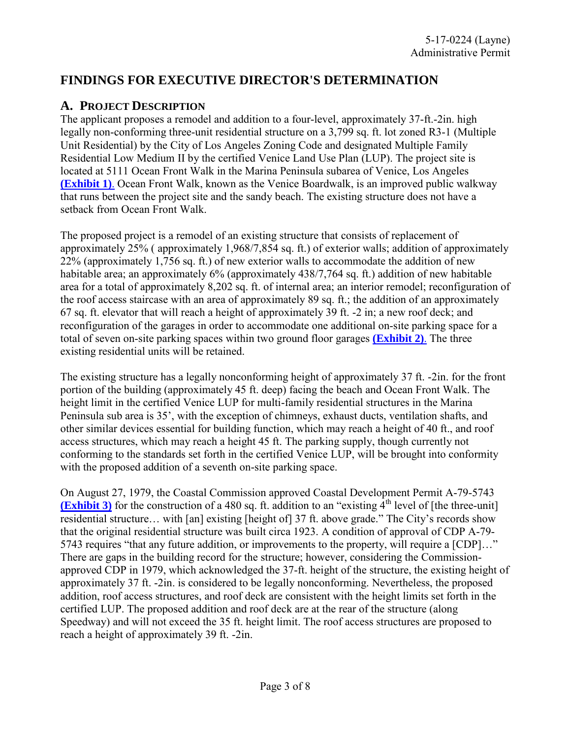## **FINDINGS FOR EXECUTIVE DIRECTOR'S DETERMINATION**

#### **A. PROJECT DESCRIPTION**

The applicant proposes a remodel and addition to a four-level, approximately 37-ft.-2in. high legally non-conforming three-unit residential structure on a 3,799 sq. ft. lot zoned R3-1 (Multiple Unit Residential) by the City of Los Angeles Zoning Code and designated Multiple Family Residential Low Medium II by the certified Venice Land Use Plan (LUP). The project site is located at 5111 Ocean Front Walk in the Marina Peninsula subarea of Venice, Los Angeles **[\(Exhibit 1\)](https://documents.coastal.ca.gov/reports/2017/7/W7b/W7b-7-2017-exhibits.pdf)**. Ocean Front Walk, known as the Venice Boardwalk, is an improved public walkway that runs between the project site and the sandy beach. The existing structure does not have a setback from Ocean Front Walk.

The proposed project is a remodel of an existing structure that consists of replacement of approximately 25% ( approximately 1,968/7,854 sq. ft.) of exterior walls; addition of approximately 22% (approximately 1,756 sq. ft.) of new exterior walls to accommodate the addition of new habitable area; an approximately 6% (approximately 438/7,764 sq. ft.) addition of new habitable area for a total of approximately 8,202 sq. ft. of internal area; an interior remodel; reconfiguration of the roof access staircase with an area of approximately 89 sq. ft.; the addition of an approximately 67 sq. ft. elevator that will reach a height of approximately 39 ft. -2 in; a new roof deck; and reconfiguration of the garages in order to accommodate one additional on-site parking space for a total of seven on-site parking spaces within two ground floor garages **[\(Exhibit 2\)](https://documents.coastal.ca.gov/reports/2017/7/W7b/W7b-7-2017-exhibits.pdf)**. The three existing residential units will be retained.

The existing structure has a legally nonconforming height of approximately 37 ft. -2in. for the front portion of the building (approximately 45 ft. deep) facing the beach and Ocean Front Walk. The height limit in the certified Venice LUP for multi-family residential structures in the Marina Peninsula sub area is 35', with the exception of chimneys, exhaust ducts, ventilation shafts, and other similar devices essential for building function, which may reach a height of 40 ft., and roof access structures, which may reach a height 45 ft. The parking supply, though currently not conforming to the standards set forth in the certified Venice LUP, will be brought into conformity with the proposed addition of a seventh on-site parking space.

On August 27, 1979, the Coastal Commission approved Coastal Development Permit A-79-5743 **[\(Exhibit 3\)](https://documents.coastal.ca.gov/reports/2017/7/W7b/W7b-7-2017-exhibits.pdf)** for the construction of a 480 sq. ft. addition to an "existing  $4<sup>th</sup>$  level of [the three-unit] residential structure… with [an] existing [height of] 37 ft. above grade." The City's records show that the original residential structure was built circa 1923. A condition of approval of CDP A-79- 5743 requires "that any future addition, or improvements to the property, will require a [CDP]…" There are gaps in the building record for the structure; however, considering the Commissionapproved CDP in 1979, which acknowledged the 37-ft. height of the structure, the existing height of approximately 37 ft. -2in. is considered to be legally nonconforming. Nevertheless, the proposed addition, roof access structures, and roof deck are consistent with the height limits set forth in the certified LUP. The proposed addition and roof deck are at the rear of the structure (along Speedway) and will not exceed the 35 ft. height limit. The roof access structures are proposed to reach a height of approximately 39 ft. -2in.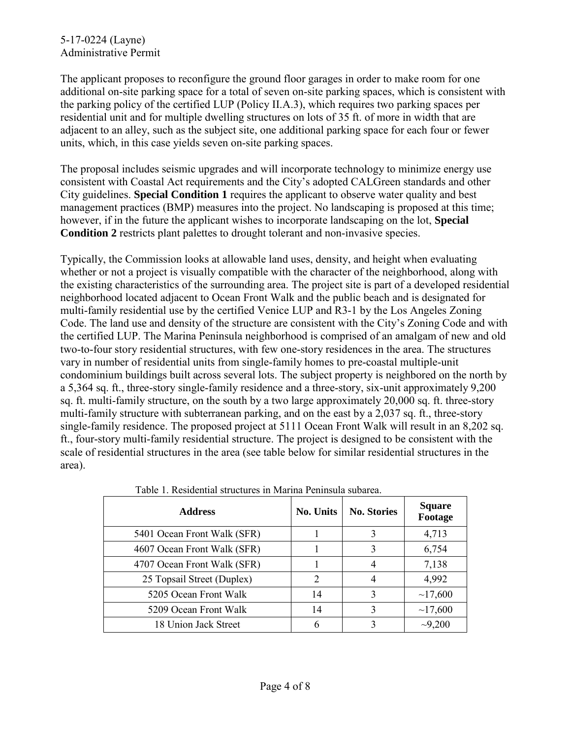#### 5-17-0224 (Layne) Administrative Permit

The applicant proposes to reconfigure the ground floor garages in order to make room for one additional on-site parking space for a total of seven on-site parking spaces, which is consistent with the parking policy of the certified LUP (Policy II.A.3), which requires two parking spaces per residential unit and for multiple dwelling structures on lots of 35 ft. of more in width that are adjacent to an alley, such as the subject site, one additional parking space for each four or fewer units, which, in this case yields seven on-site parking spaces.

The proposal includes seismic upgrades and will incorporate technology to minimize energy use consistent with Coastal Act requirements and the City's adopted CALGreen standards and other City guidelines. **Special Condition 1** requires the applicant to observe water quality and best management practices (BMP) measures into the project. No landscaping is proposed at this time; however, if in the future the applicant wishes to incorporate landscaping on the lot, **Special Condition 2** restricts plant palettes to drought tolerant and non-invasive species.

Typically, the Commission looks at allowable land uses, density, and height when evaluating whether or not a project is visually compatible with the character of the neighborhood, along with the existing characteristics of the surrounding area. The project site is part of a developed residential neighborhood located adjacent to Ocean Front Walk and the public beach and is designated for multi-family residential use by the certified Venice LUP and R3-1 by the Los Angeles Zoning Code. The land use and density of the structure are consistent with the City's Zoning Code and with the certified LUP. The Marina Peninsula neighborhood is comprised of an amalgam of new and old two-to-four story residential structures, with few one-story residences in the area. The structures vary in number of residential units from single-family homes to pre-coastal multiple-unit condominium buildings built across several lots. The subject property is neighbored on the north by a 5,364 sq. ft., three-story single-family residence and a three-story, six-unit approximately 9,200 sq. ft. multi-family structure, on the south by a two large approximately 20,000 sq. ft. three-story multi-family structure with subterranean parking, and on the east by a 2,037 sq. ft., three-story single-family residence. The proposed project at 5111 Ocean Front Walk will result in an 8,202 sq. ft., four-story multi-family residential structure. The project is designed to be consistent with the scale of residential structures in the area (see table below for similar residential structures in the area).

| <b>Address</b>              | <b>No. Units</b>            | <b>No. Stories</b> | <b>Square</b><br>Footage |
|-----------------------------|-----------------------------|--------------------|--------------------------|
| 5401 Ocean Front Walk (SFR) |                             |                    | 4,713                    |
| 4607 Ocean Front Walk (SFR) |                             |                    | 6,754                    |
| 4707 Ocean Front Walk (SFR) |                             |                    | 7,138                    |
| 25 Topsail Street (Duplex)  | $\mathcal{D}_{\mathcal{L}}$ |                    | 4,992                    |
| 5205 Ocean Front Walk       | 14                          |                    | ~17,600                  |
| 5209 Ocean Front Walk       | 14                          |                    | ~17,600                  |
| 18 Union Jack Street        |                             |                    | $-9,200$                 |

Table 1. Residential structures in Marina Peninsula subarea.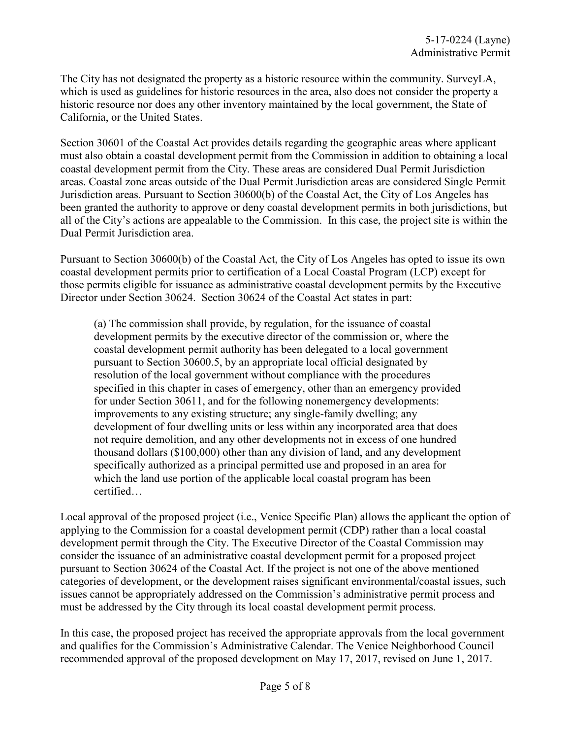The City has not designated the property as a historic resource within the community. SurveyLA, which is used as guidelines for historic resources in the area, also does not consider the property a historic resource nor does any other inventory maintained by the local government, the State of California, or the United States.

Section 30601 of the Coastal Act provides details regarding the geographic areas where applicant must also obtain a coastal development permit from the Commission in addition to obtaining a local coastal development permit from the City. These areas are considered Dual Permit Jurisdiction areas. Coastal zone areas outside of the Dual Permit Jurisdiction areas are considered Single Permit Jurisdiction areas. Pursuant to Section 30600(b) of the Coastal Act, the City of Los Angeles has been granted the authority to approve or deny coastal development permits in both jurisdictions, but all of the City's actions are appealable to the Commission. In this case, the project site is within the Dual Permit Jurisdiction area.

Pursuant to Section 30600(b) of the Coastal Act, the City of Los Angeles has opted to issue its own coastal development permits prior to certification of a Local Coastal Program (LCP) except for those permits eligible for issuance as administrative coastal development permits by the Executive Director under Section 30624. Section 30624 of the Coastal Act states in part:

(a) The commission shall provide, by regulation, for the issuance of coastal development permits by the executive director of the commission or, where the coastal development permit authority has been delegated to a local government pursuant to Section 30600.5, by an appropriate local official designated by resolution of the local government without compliance with the procedures specified in this chapter in cases of emergency, other than an emergency provided for under Section 30611, and for the following nonemergency developments: improvements to any existing structure; any single-family dwelling; any development of four dwelling units or less within any incorporated area that does not require demolition, and any other developments not in excess of one hundred thousand dollars (\$100,000) other than any division of land, and any development specifically authorized as a principal permitted use and proposed in an area for which the land use portion of the applicable local coastal program has been certified…

Local approval of the proposed project (i.e., Venice Specific Plan) allows the applicant the option of applying to the Commission for a coastal development permit (CDP) rather than a local coastal development permit through the City. The Executive Director of the Coastal Commission may consider the issuance of an administrative coastal development permit for a proposed project pursuant to Section 30624 of the Coastal Act. If the project is not one of the above mentioned categories of development, or the development raises significant environmental/coastal issues, such issues cannot be appropriately addressed on the Commission's administrative permit process and must be addressed by the City through its local coastal development permit process.

In this case, the proposed project has received the appropriate approvals from the local government and qualifies for the Commission's Administrative Calendar. The Venice Neighborhood Council recommended approval of the proposed development on May 17, 2017, revised on June 1, 2017.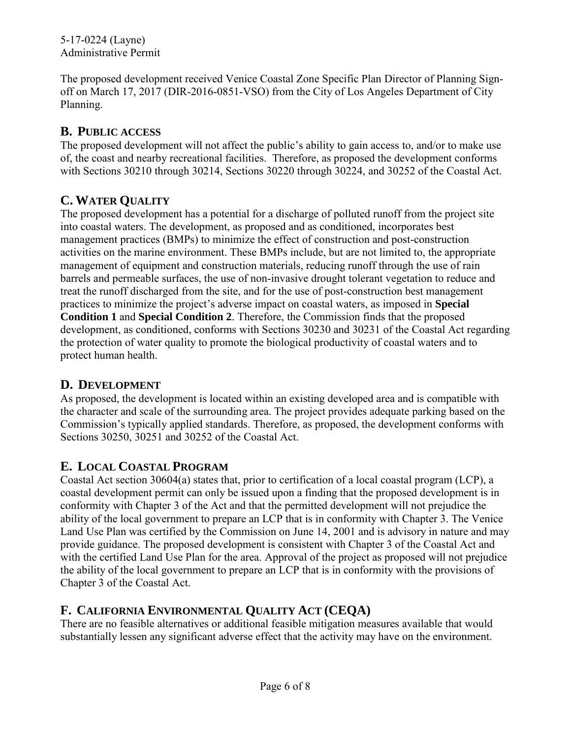The proposed development received Venice Coastal Zone Specific Plan Director of Planning Signoff on March 17, 2017 (DIR-2016-0851-VSO) from the City of Los Angeles Department of City Planning.

## **B. PUBLIC ACCESS**

The proposed development will not affect the public's ability to gain access to, and/or to make use of, the coast and nearby recreational facilities. Therefore, as proposed the development conforms with Sections 30210 through 30214, Sections 30220 through 30224, and 30252 of the Coastal Act.

## **C. WATER QUALITY**

The proposed development has a potential for a discharge of polluted runoff from the project site into coastal waters. The development, as proposed and as conditioned, incorporates best management practices (BMPs) to minimize the effect of construction and post-construction activities on the marine environment. These BMPs include, but are not limited to, the appropriate management of equipment and construction materials, reducing runoff through the use of rain barrels and permeable surfaces, the use of non-invasive drought tolerant vegetation to reduce and treat the runoff discharged from the site, and for the use of post-construction best management practices to minimize the project's adverse impact on coastal waters, as imposed in **Special Condition 1** and **Special Condition 2**. Therefore, the Commission finds that the proposed development, as conditioned, conforms with Sections 30230 and 30231 of the Coastal Act regarding the protection of water quality to promote the biological productivity of coastal waters and to protect human health.

#### **D. DEVELOPMENT**

As proposed, the development is located within an existing developed area and is compatible with the character and scale of the surrounding area. The project provides adequate parking based on the Commission's typically applied standards. Therefore, as proposed, the development conforms with Sections 30250, 30251 and 30252 of the Coastal Act.

## **E. LOCAL COASTAL PROGRAM**

Coastal Act section 30604(a) states that, prior to certification of a local coastal program (LCP), a coastal development permit can only be issued upon a finding that the proposed development is in conformity with Chapter 3 of the Act and that the permitted development will not prejudice the ability of the local government to prepare an LCP that is in conformity with Chapter 3. The Venice Land Use Plan was certified by the Commission on June 14, 2001 and is advisory in nature and may provide guidance. The proposed development is consistent with Chapter 3 of the Coastal Act and with the certified Land Use Plan for the area. Approval of the project as proposed will not prejudice the ability of the local government to prepare an LCP that is in conformity with the provisions of Chapter 3 of the Coastal Act.

# **F. CALIFORNIA ENVIRONMENTAL QUALITY ACT (CEQA)**

There are no feasible alternatives or additional feasible mitigation measures available that would substantially lessen any significant adverse effect that the activity may have on the environment.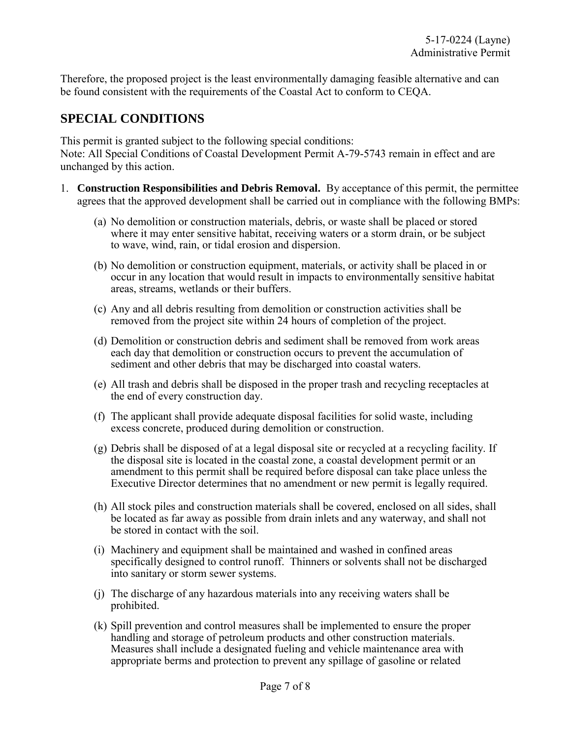Therefore, the proposed project is the least environmentally damaging feasible alternative and can be found consistent with the requirements of the Coastal Act to conform to CEQA.

## **SPECIAL CONDITIONS**

This permit is granted subject to the following special conditions:

Note: All Special Conditions of Coastal Development Permit A-79-5743 remain in effect and are unchanged by this action.

- 1. **Construction Responsibilities and Debris Removal.** By acceptance of this permit, the permittee agrees that the approved development shall be carried out in compliance with the following BMPs:
	- (a) No demolition or construction materials, debris, or waste shall be placed or stored where it may enter sensitive habitat, receiving waters or a storm drain, or be subject to wave, wind, rain, or tidal erosion and dispersion.
	- (b) No demolition or construction equipment, materials, or activity shall be placed in or occur in any location that would result in impacts to environmentally sensitive habitat areas, streams, wetlands or their buffers.
	- (c) Any and all debris resulting from demolition or construction activities shall be removed from the project site within 24 hours of completion of the project.
	- (d) Demolition or construction debris and sediment shall be removed from work areas each day that demolition or construction occurs to prevent the accumulation of sediment and other debris that may be discharged into coastal waters.
	- (e) All trash and debris shall be disposed in the proper trash and recycling receptacles at the end of every construction day.
	- (f) The applicant shall provide adequate disposal facilities for solid waste, including excess concrete, produced during demolition or construction.
	- (g) Debris shall be disposed of at a legal disposal site or recycled at a recycling facility. If the disposal site is located in the coastal zone, a coastal development permit or an amendment to this permit shall be required before disposal can take place unless the Executive Director determines that no amendment or new permit is legally required.
	- (h) All stock piles and construction materials shall be covered, enclosed on all sides, shall be located as far away as possible from drain inlets and any waterway, and shall not be stored in contact with the soil.
	- (i) Machinery and equipment shall be maintained and washed in confined areas specifically designed to control runoff. Thinners or solvents shall not be discharged into sanitary or storm sewer systems.
	- (j) The discharge of any hazardous materials into any receiving waters shall be prohibited.
	- (k) Spill prevention and control measures shall be implemented to ensure the proper handling and storage of petroleum products and other construction materials. Measures shall include a designated fueling and vehicle maintenance area with appropriate berms and protection to prevent any spillage of gasoline or related